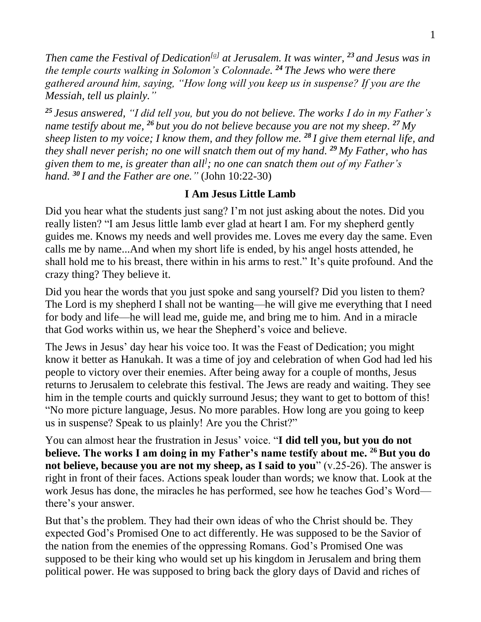*Then came the Festival of Dedication [\[a\]](https://www.biblegateway.com/passage/?search=John%2010%3A22-30&version=NIV#fen-NIV-26504a) at Jerusalem. It was winter, <sup>23</sup> and Jesus was in the temple courts walking in Solomon's Colonnade. <sup>24</sup> The Jews who were there gathered around him, saying, "How long will you keep us in suspense? If you are the Messiah, tell us plainly."*

*<sup>25</sup> Jesus answered, "I did tell you, but you do not believe. The works I do in my Father's name testify about me, <sup>26</sup> but you do not believe because you are not my sheep. <sup>27</sup> My sheep listen to my voice; I know them, and they follow me. <sup>28</sup> I give them eternal life, and they shall never perish; no one will snatch them out of my hand. <sup>29</sup> My Father, who has given them to me, is greater than all ] ; no one can snatch them out of my Father's hand. <sup>30</sup> I and the Father are one."* (John 10:22-30)

## **I Am Jesus Little Lamb**

Did you hear what the students just sang? I'm not just asking about the notes. Did you really listen? "I am Jesus little lamb ever glad at heart I am. For my shepherd gently guides me. Knows my needs and well provides me. Loves me every day the same. Even calls me by name...And when my short life is ended, by his angel hosts attended, he shall hold me to his breast, there within in his arms to rest." It's quite profound. And the crazy thing? They believe it.

Did you hear the words that you just spoke and sang yourself? Did you listen to them? The Lord is my shepherd I shall not be wanting—he will give me everything that I need for body and life—he will lead me, guide me, and bring me to him. And in a miracle that God works within us, we hear the Shepherd's voice and believe.

The Jews in Jesus' day hear his voice too. It was the Feast of Dedication; you might know it better as Hanukah. It was a time of joy and celebration of when God had led his people to victory over their enemies. After being away for a couple of months, Jesus returns to Jerusalem to celebrate this festival. The Jews are ready and waiting. They see him in the temple courts and quickly surround Jesus; they want to get to bottom of this! "No more picture language, Jesus. No more parables. How long are you going to keep us in suspense? Speak to us plainly! Are you the Christ?"

You can almost hear the frustration in Jesus' voice. "**I did tell you, but you do not believe. The works I am doing in my Father's name testify about me. <sup>26</sup>But you do not believe, because you are not my sheep, as I said to you**" (v.25-26). The answer is right in front of their faces. Actions speak louder than words; we know that. Look at the work Jesus has done, the miracles he has performed, see how he teaches God's Word there's your answer.

But that's the problem. They had their own ideas of who the Christ should be. They expected God's Promised One to act differently. He was supposed to be the Savior of the nation from the enemies of the oppressing Romans. God's Promised One was supposed to be their king who would set up his kingdom in Jerusalem and bring them political power. He was supposed to bring back the glory days of David and riches of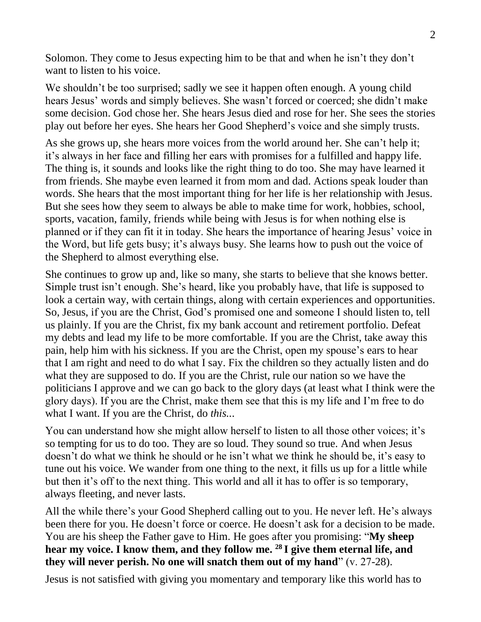Solomon. They come to Jesus expecting him to be that and when he isn't they don't want to listen to his voice.

We shouldn't be too surprised; sadly we see it happen often enough. A young child hears Jesus' words and simply believes. She wasn't forced or coerced; she didn't make some decision. God chose her. She hears Jesus died and rose for her. She sees the stories play out before her eyes. She hears her Good Shepherd's voice and she simply trusts.

As she grows up, she hears more voices from the world around her. She can't help it; it's always in her face and filling her ears with promises for a fulfilled and happy life. The thing is, it sounds and looks like the right thing to do too. She may have learned it from friends. She maybe even learned it from mom and dad. Actions speak louder than words. She hears that the most important thing for her life is her relationship with Jesus. But she sees how they seem to always be able to make time for work, hobbies, school, sports, vacation, family, friends while being with Jesus is for when nothing else is planned or if they can fit it in today. She hears the importance of hearing Jesus' voice in the Word, but life gets busy; it's always busy. She learns how to push out the voice of the Shepherd to almost everything else.

She continues to grow up and, like so many, she starts to believe that she knows better. Simple trust isn't enough. She's heard, like you probably have, that life is supposed to look a certain way, with certain things, along with certain experiences and opportunities. So, Jesus, if you are the Christ, God's promised one and someone I should listen to, tell us plainly. If you are the Christ, fix my bank account and retirement portfolio. Defeat my debts and lead my life to be more comfortable. If you are the Christ, take away this pain, help him with his sickness. If you are the Christ, open my spouse's ears to hear that I am right and need to do what I say. Fix the children so they actually listen and do what they are supposed to do. If you are the Christ, rule our nation so we have the politicians I approve and we can go back to the glory days (at least what I think were the glory days). If you are the Christ, make them see that this is my life and I'm free to do what I want. If you are the Christ, do *this..*.

You can understand how she might allow herself to listen to all those other voices; it's so tempting for us to do too. They are so loud. They sound so true. And when Jesus doesn't do what we think he should or he isn't what we think he should be, it's easy to tune out his voice. We wander from one thing to the next, it fills us up for a little while but then it's off to the next thing. This world and all it has to offer is so temporary, always fleeting, and never lasts.

All the while there's your Good Shepherd calling out to you. He never left. He's always been there for you. He doesn't force or coerce. He doesn't ask for a decision to be made. You are his sheep the Father gave to Him. He goes after you promising: "**My sheep hear my voice. I know them, and they follow me. <sup>28</sup> I give them eternal life, and they will never perish. No one will snatch them out of my hand**" (v. 27-28).

Jesus is not satisfied with giving you momentary and temporary like this world has to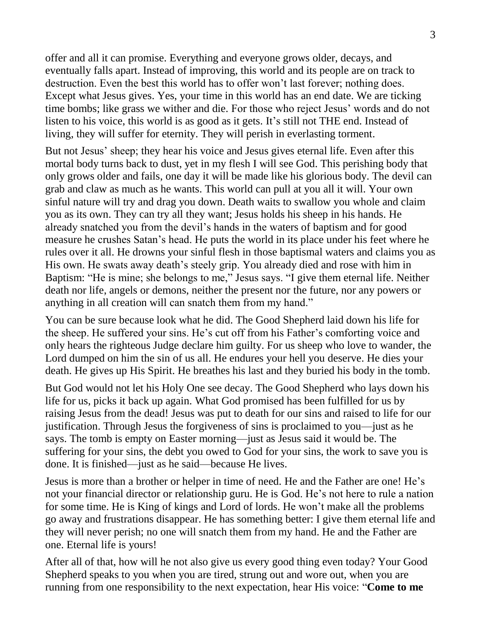offer and all it can promise. Everything and everyone grows older, decays, and eventually falls apart. Instead of improving, this world and its people are on track to destruction. Even the best this world has to offer won't last forever; nothing does. Except what Jesus gives. Yes, your time in this world has an end date. We are ticking time bombs; like grass we wither and die. For those who reject Jesus' words and do not listen to his voice, this world is as good as it gets. It's still not THE end. Instead of living, they will suffer for eternity. They will perish in everlasting torment.

But not Jesus' sheep; they hear his voice and Jesus gives eternal life. Even after this mortal body turns back to dust, yet in my flesh I will see God. This perishing body that only grows older and fails, one day it will be made like his glorious body. The devil can grab and claw as much as he wants. This world can pull at you all it will. Your own sinful nature will try and drag you down. Death waits to swallow you whole and claim you as its own. They can try all they want; Jesus holds his sheep in his hands. He already snatched you from the devil's hands in the waters of baptism and for good measure he crushes Satan's head. He puts the world in its place under his feet where he rules over it all. He drowns your sinful flesh in those baptismal waters and claims you as His own. He swats away death's steely grip. You already died and rose with him in Baptism: "He is mine; she belongs to me," Jesus says. "I give them eternal life. Neither death nor life, angels or demons, neither the present nor the future, nor any powers or anything in all creation will can snatch them from my hand."

You can be sure because look what he did. The Good Shepherd laid down his life for the sheep. He suffered your sins. He's cut off from his Father's comforting voice and only hears the righteous Judge declare him guilty. For us sheep who love to wander, the Lord dumped on him the sin of us all. He endures your hell you deserve. He dies your death. He gives up His Spirit. He breathes his last and they buried his body in the tomb.

But God would not let his Holy One see decay. The Good Shepherd who lays down his life for us, picks it back up again. What God promised has been fulfilled for us by raising Jesus from the dead! Jesus was put to death for our sins and raised to life for our justification. Through Jesus the forgiveness of sins is proclaimed to you—just as he says. The tomb is empty on Easter morning—just as Jesus said it would be. The suffering for your sins, the debt you owed to God for your sins, the work to save you is done. It is finished—just as he said—because He lives.

Jesus is more than a brother or helper in time of need. He and the Father are one! He's not your financial director or relationship guru. He is God. He's not here to rule a nation for some time. He is King of kings and Lord of lords. He won't make all the problems go away and frustrations disappear. He has something better: I give them eternal life and they will never perish; no one will snatch them from my hand. He and the Father are one. Eternal life is yours!

After all of that, how will he not also give us every good thing even today? Your Good Shepherd speaks to you when you are tired, strung out and wore out, when you are running from one responsibility to the next expectation, hear His voice: "**Come to me**